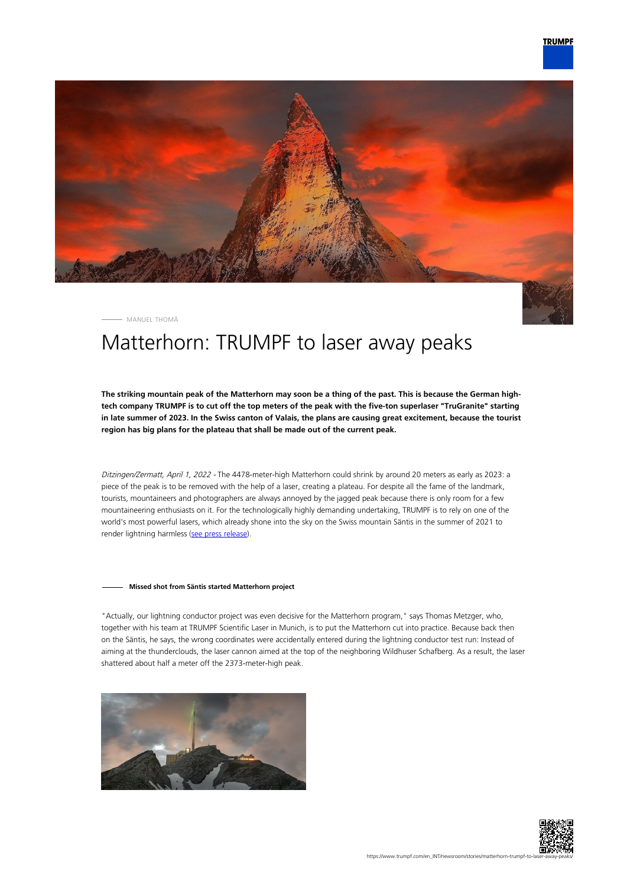

MANUEL THOMÄ

# Matterhorn: TRUMPF to laser away peaks

**The striking mountain peak of the Matterhorn may soon be a thing of the past. This is because the German hightech company TRUMPF is to cut off the top meters of the peak with the five-ton superlaser "TruGranite" starting in late summer of 2023. In the Swiss canton of Valais, the plans are causing great excitement, because the tourist region has big plans for the plateau that shall be made out of the current peak.**

Ditzingen/Zermatt, April 1, 2022 - The 4478-meter-high Matterhorn could shrink by around 20 meters as early as 2023: a piece of the peak is to be removed with the help of a laser, creating a plateau. For despite all the fame of the landmark, tourists, mountaineers and photographers are always annoyed by the jagged peak because there is only room for a few mountaineering enthusiasts on it. For the technologically highly demanding undertaking, TRUMPF is to rely on one of the world's most powerful lasers, which already shone into the sky on the Swiss mountain Säntis in the summer of 2021 to render lightning harmless ([see press release\)](https://www.trumpf.com/en_INT/newsroom/global-press-releases/press-release-detail-page/Press/a-super-laser-on-saentis-mountain-trumpf-fires-up-laser-lightning-rod-in-swiss-alps/).

#### **Missed shot from Säntis started Matterhorn project**

"Actually, our lightning conductor project was even decisive for the Matterhorn program," says Thomas Metzger, who, together with his team at TRUMPF Scientific Laser in Munich, is to put the Matterhorn cut into practice. Because back then on the Säntis, he says, the wrong coordinates were accidentally entered during the lightning conductor test run: Instead of aiming at the thunderclouds, the laser cannon aimed at the top of the neighboring Wildhuser Schafberg. As a result, the laser shattered about half a meter off the 2373-meter-high peak.



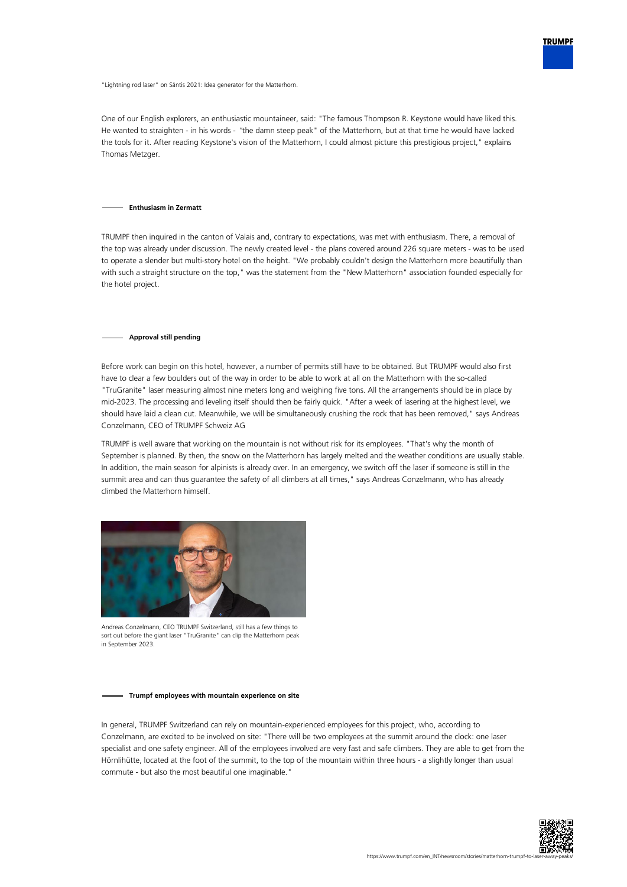

"Lightning rod laser" on Säntis 2021: Idea generator for the Matterhorn.

One of our English explorers, an enthusiastic mountaineer, said: "The famous Thompson R. Keystone would have liked this. He wanted to straighten - in his words - "the damn steep peak" of the Matterhorn, but at that time he would have lacked the tools for it. After reading Keystone's vision of the Matterhorn, I could almost picture this prestigious project," explains Thomas Metzger.

#### **Enthusiasm in Zermatt**

TRUMPF then inquired in the canton of Valais and, contrary to expectations, was met with enthusiasm. There, a removal of the top was already under discussion. The newly created level - the plans covered around 226 square meters - was to be used to operate a slender but multi-story hotel on the height. "We probably couldn't design the Matterhorn more beautifully than with such a straight structure on the top," was the statement from the "New Matterhorn" association founded especially for the hotel project.

#### **Approval still pending**

Before work can begin on this hotel, however, a number of permits still have to be obtained. But TRUMPF would also first have to clear a few boulders out of the way in order to be able to work at all on the Matterhorn with the so-called "TruGranite" laser measuring almost nine meters long and weighing five tons. All the arrangements should be in place by mid-2023. The processing and leveling itself should then be fairly quick. "After a week of lasering at the highest level, we should have laid a clean cut. Meanwhile, we will be simultaneously crushing the rock that has been removed," says Andreas Conzelmann, CEO of TRUMPF Schweiz AG

TRUMPF is well aware that working on the mountain is not without risk for its employees. "That's why the month of September is planned. By then, the snow on the Matterhorn has largely melted and the weather conditions are usually stable. In addition, the main season for alpinists is already over. In an emergency, we switch off the laser if someone is still in the summit area and can thus guarantee the safety of all climbers at all times," says Andreas Conzelmann, who has already climbed the Matterhorn himself.



Andreas Conzelmann, CEO TRUMPF Switzerland, still has a few things to sort out before the giant laser "TruGranite" can clip the Matterhorn peak in September 2023.

#### **Trumpf employees with mountain experience on site**

In general, TRUMPF Switzerland can rely on mountain-experienced employees for this project, who, according to Conzelmann, are excited to be involved on site: "There will be two employees at the summit around the clock: one laser specialist and one safety engineer. All of the employees involved are very fast and safe climbers. They are able to get from the Hörnlihütte, located at the foot of the summit, to the top of the mountain within three hours - a slightly longer than usual commute - but also the most beautiful one imaginable."